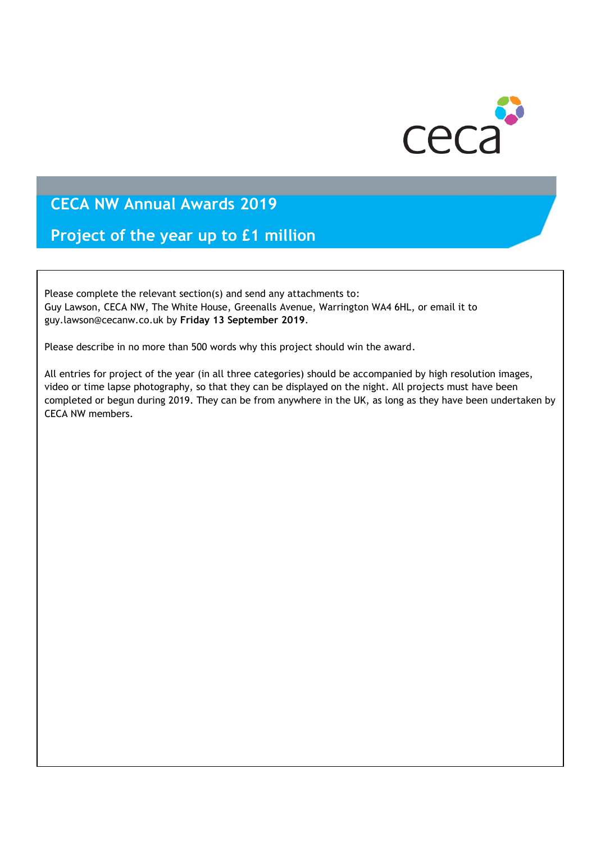

**Project of the year up to £1 million**

Please complete the relevant section(s) and send any attachments to: Guy Lawson, CECA NW, The White House, Greenalls Avenue, Warrington WA4 6HL, or email it to guy.lawson@cecanw.co.uk by **Friday 13 September 2019**.

Please describe in no more than 500 words why this project should win the award.

All entries for project of the year (in all three categories) should be accompanied by high resolution images, video or time lapse photography, so that they can be displayed on the night. All projects must have been completed or begun during 2019. They can be from anywhere in the UK, as long as they have been undertaken by CECA NW members.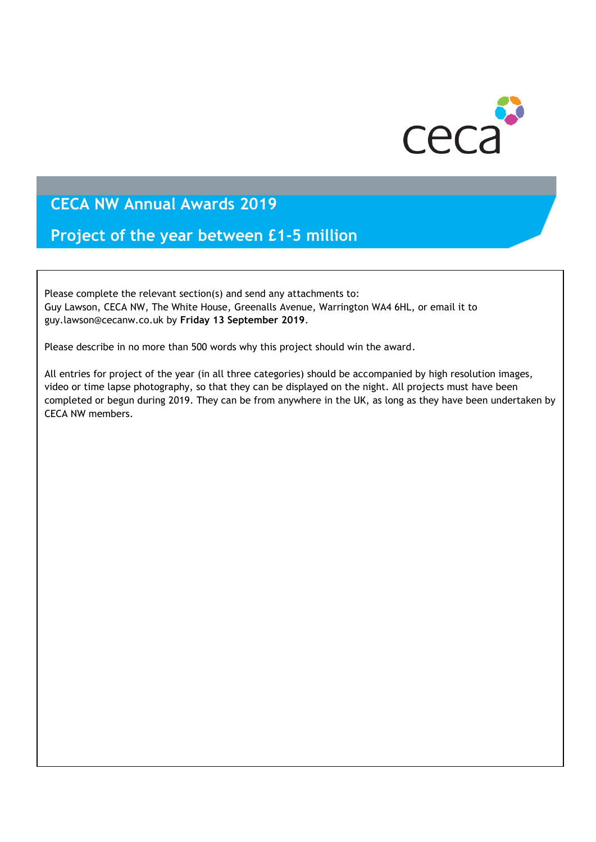

#### **Project of the year between £1-5 million**

Please complete the relevant section(s) and send any attachments to: Guy Lawson, CECA NW, The White House, Greenalls Avenue, Warrington WA4 6HL, or email it to guy.lawson@cecanw.co.uk by **Friday 13 September 2019**.

Please describe in no more than 500 words why this project should win the award.

All entries for project of the year (in all three categories) should be accompanied by high resolution images, video or time lapse photography, so that they can be displayed on the night. All projects must have been completed or begun during 2019. They can be from anywhere in the UK, as long as they have been undertaken by CECA NW members.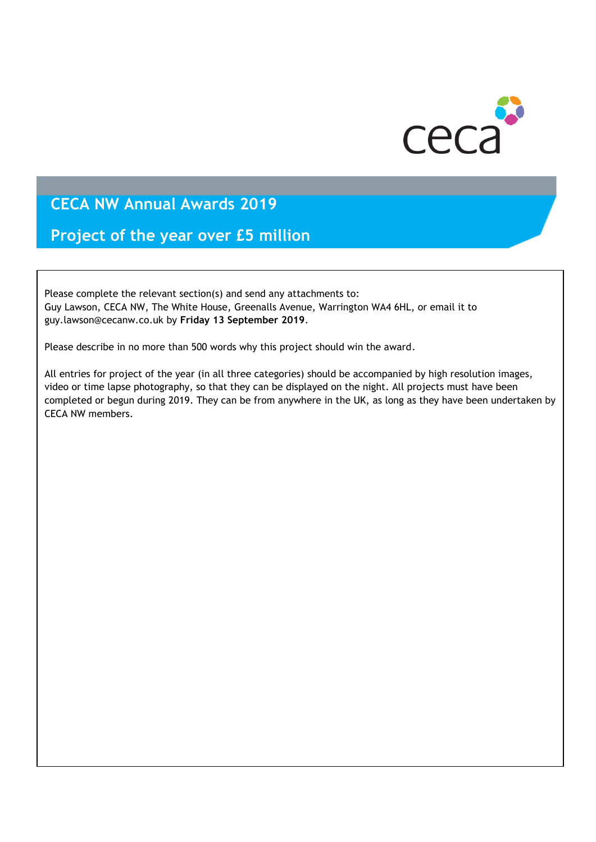

**Project of the year over £5 million**

Please complete the relevant section(s) and send any attachments to: Guy Lawson, CECA NW, The White House, Greenalls Avenue, Warrington WA4 6HL, or email it to guy.lawson@cecanw.co.uk by **Friday 13 September 2019**.

Please describe in no more than 500 words why this project should win the award.

All entries for project of the year (in all three categories) should be accompanied by high resolution images, video or time lapse photography, so that they can be displayed on the night. All projects must have been completed or begun during 2019. They can be from anywhere in the UK, as long as they have been undertaken by CECA NW members.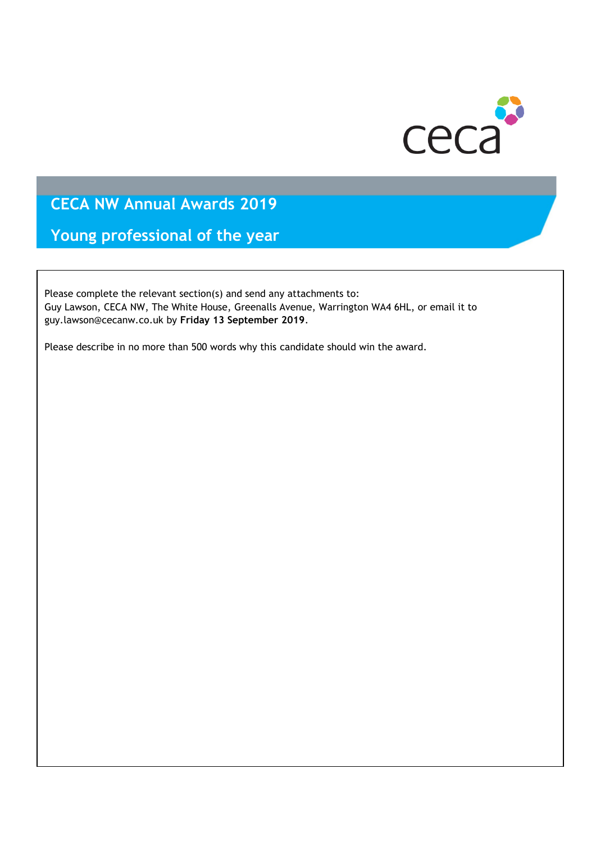

**Young professional of the year** 

Please complete the relevant section(s) and send any attachments to: Guy Lawson, CECA NW, The White House, Greenalls Avenue, Warrington WA4 6HL, or email it to guy.lawson@cecanw.co.uk by **Friday 13 September 2019**.

Please describe in no more than 500 words why this candidate should win the award.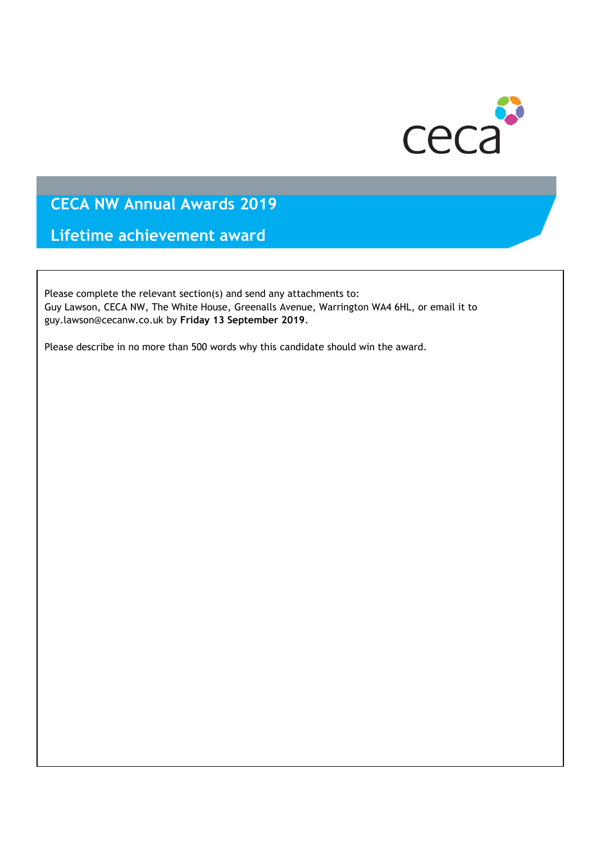

**Lifetime achievement award**

Please complete the relevant section(s) and send any attachments to: Guy Lawson, CECA NW, The White House, Greenalls Avenue, Warrington WA4 6HL, or email it to guy.lawson@cecanw.co.uk by **Friday 13 September 2019**.

Please describe in no more than 500 words why this candidate should win the award.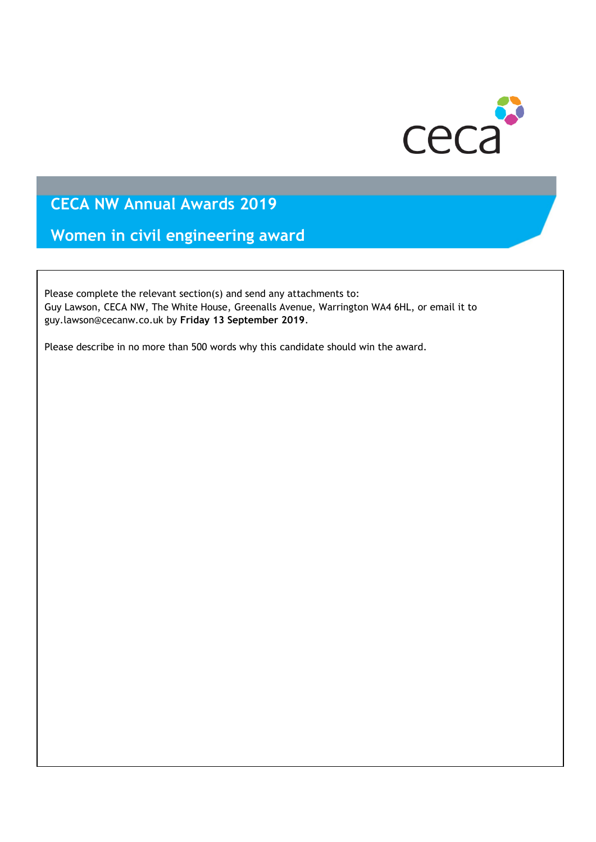

**Women in civil engineering award**

Please complete the relevant section(s) and send any attachments to: Guy Lawson, CECA NW, The White House, Greenalls Avenue, Warrington WA4 6HL, or email it to guy.lawson@cecanw.co.uk by **Friday 13 September 2019**.

Please describe in no more than 500 words why this candidate should win the award.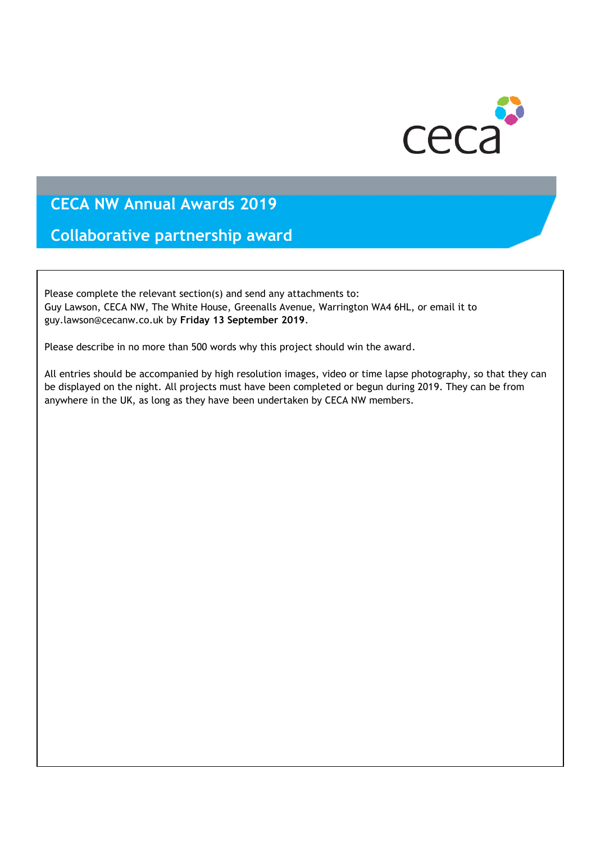

**Collaborative partnership award**

Please complete the relevant section(s) and send any attachments to: Guy Lawson, CECA NW, The White House, Greenalls Avenue, Warrington WA4 6HL, or email it to guy.lawson@cecanw.co.uk by **Friday 13 September 2019**.

Please describe in no more than 500 words why this project should win the award.

All entries should be accompanied by high resolution images, video or time lapse photography, so that they can be displayed on the night. All projects must have been completed or begun during 2019. They can be from anywhere in the UK, as long as they have been undertaken by CECA NW members.